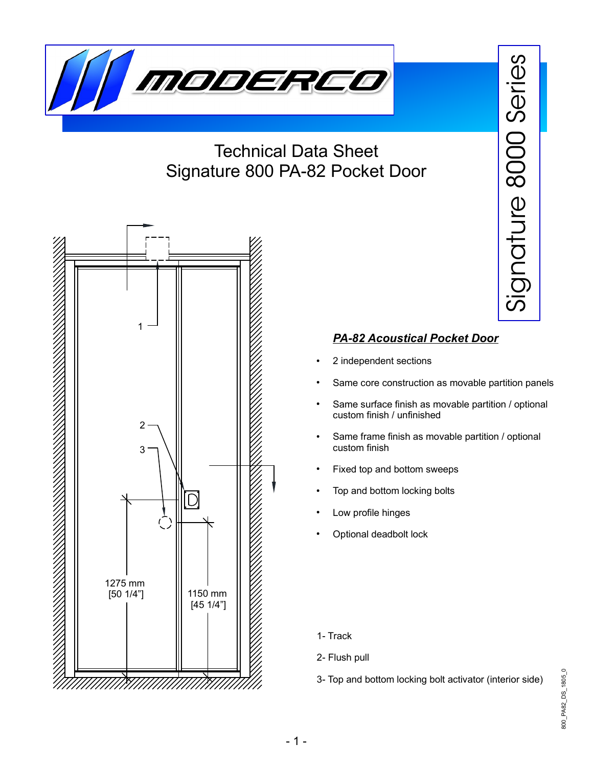

## Technical Data Sheet Signature 800 PA-82 Pocket Door



## *PA-82 Acoustical Pocket Door*

- 2 independent sections
- Same core construction as movable partition panels

 $\frac{1}{2}$ 

 $\subset$  $\mathbf{\overline{O}}$  $\,$  $\beth$ 

 $\underline{\mathbb{O}}$ 

 $\infty$  $\bigcirc$  $\bigcirc$  $\bigcirc$ 

 $\mathcal O$  $\mathbb O$ 

rie

ၯ

- Same surface finish as movable partition / optional custom finish / unfinished
- Same frame finish as movable partition / optional custom finish
- Fixed top and bottom sweeps
- Top and bottom locking bolts
- Low profile hinges
- Optional deadbolt lock

- 1- Track
- 2- Flush pull
- 3- Top and bottom locking bolt activator (interior side)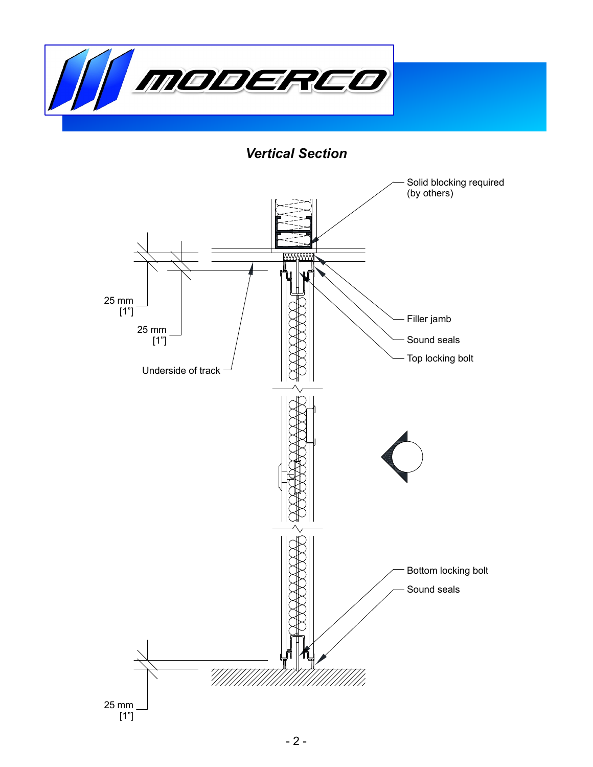

*Vertical Section*